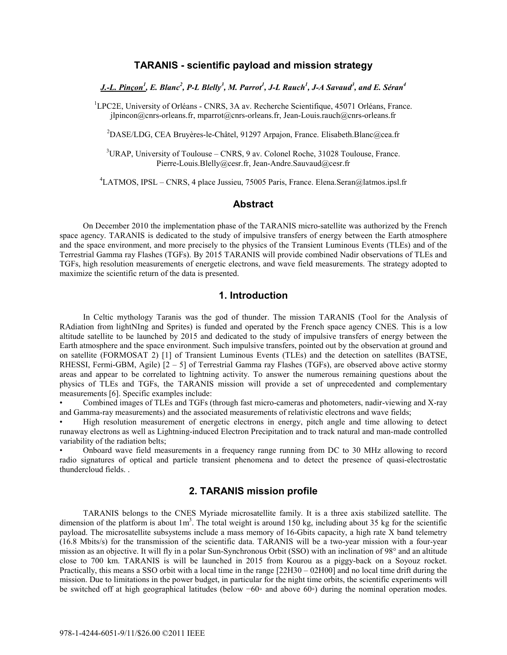### **TARANIS - scientific payload and mission strategy**

*J.-L. Pinçon1 , E. Blanc<sup>2</sup> , P-L Blelly<sup>3</sup> , M. Parrot<sup>1</sup> , J-L Rauch1 , J-A Savaud<sup>3</sup> , and E. Séran<sup>4</sup>*

<sup>1</sup>LPC2E, University of Orléans - CNRS, 3A av. Recherche Scientifique, 45071 Orléans, France. jlpincon@cnrs-orleans.fr, mparrot@cnrs-orleans.fr, Jean-Louis.rauch@cnrs-orleans.fr

<sup>2</sup>DASE/LDG, CEA Bruyères-le-Châtel, 91297 Arpajon, France. Elisabeth.Blanc@cea.fr

3 URAP, University of Toulouse – CNRS, 9 av. Colonel Roche, 31028 Toulouse, France. Pierre-Louis.Blelly@cesr.fr, Jean-Andre.Sauvaud@cesr.fr

4 LATMOS, IPSL – CNRS, 4 place Jussieu, 75005 Paris, France. Elena.Seran@latmos.ipsl.fr

### **Abstract**

 On December 2010 the implementation phase of the TARANIS micro-satellite was authorized by the French space agency. TARANIS is dedicated to the study of impulsive transfers of energy between the Earth atmosphere and the space environment, and more precisely to the physics of the Transient Luminous Events (TLEs) and of the Terrestrial Gamma ray Flashes (TGFs). By 2015 TARANIS will provide combined Nadir observations of TLEs and TGFs, high resolution measurements of energetic electrons, and wave field measurements. The strategy adopted to maximize the scientific return of the data is presented.

### **1. Introduction**

 In Celtic mythology Taranis was the god of thunder. The mission TARANIS (Tool for the Analysis of RAdiation from lightNIng and Sprites) is funded and operated by the French space agency CNES. This is a low altitude satellite to be launched by 2015 and dedicated to the study of impulsive transfers of energy between the Earth atmosphere and the space environment. Such impulsive transfers, pointed out by the observation at ground and on satellite (FORMOSAT 2) [1] of Transient Luminous Events (TLEs) and the detection on satellites (BATSE, RHESSI, Fermi-GBM, Agile) [2 – 5] of Terrestrial Gamma ray Flashes (TGFs), are observed above active stormy areas and appear to be correlated to lightning activity. To answer the numerous remaining questions about the physics of TLEs and TGFs, the TARANIS mission will provide a set of unprecedented and complementary measurements [6]. Specific examples include:

• Combined images of TLEs and TGFs (through fast micro-cameras and photometers, nadir-viewing and X-ray and Gamma-ray measurements) and the associated measurements of relativistic electrons and wave fields;

• High resolution measurement of energetic electrons in energy, pitch angle and time allowing to detect runaway electrons as well as Lightning-induced Electron Precipitation and to track natural and man-made controlled variability of the radiation belts;

• Onboard wave field measurements in a frequency range running from DC to 30 MHz allowing to record radio signatures of optical and particle transient phenomena and to detect the presence of quasi-electrostatic thundercloud fields. .

### **2. TARANIS mission profile**

 TARANIS belongs to the CNES Myriade microsatellite family. It is a three axis stabilized satellite. The dimension of the platform is about  $1m<sup>3</sup>$ . The total weight is around 150 kg, including about 35 kg for the scientific payload. The microsatellite subsystems include a mass memory of 16-Gbits capacity, a high rate X band telemetry (16.8 Mbits/s) for the transmission of the scientific data. TARANIS will be a two-year mission with a four-year mission as an objective. It will fly in a polar Sun-Synchronous Orbit (SSO) with an inclination of 98° and an altitude close to 700 km. TARANIS is will be launched in 2015 from Kourou as a piggy-back on a Soyouz rocket. Practically, this means a SSO orbit with a local time in the range [22H30 – 02H00] and no local time drift during the mission. Due to limitations in the power budget, in particular for the night time orbits, the scientific experiments will be switched off at high geographical latitudes (below −60◦ and above 60◦) during the nominal operation modes.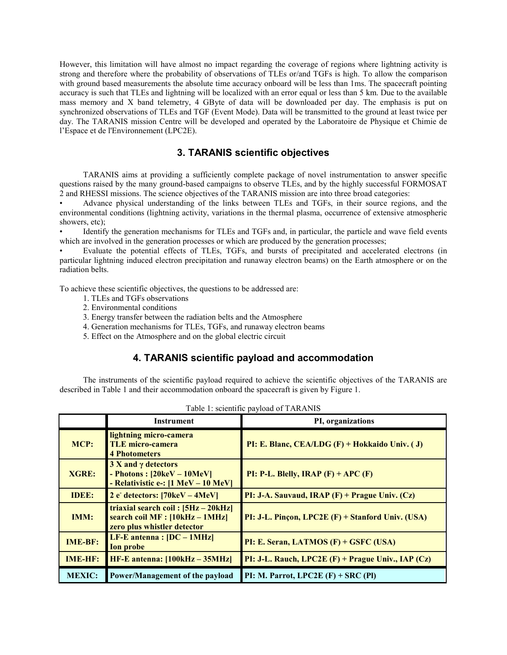However, this limitation will have almost no impact regarding the coverage of regions where lightning activity is strong and therefore where the probability of observations of TLEs or/and TGFs is high. To allow the comparison with ground based measurements the absolute time accuracy onboard will be less than 1ms. The spacecraft pointing accuracy is such that TLEs and lightning will be localized with an error equal or less than 5 km. Due to the available mass memory and X band telemetry, 4 GByte of data will be downloaded per day. The emphasis is put on synchronized observations of TLEs and TGF (Event Mode). Data will be transmitted to the ground at least twice per day. The TARANIS mission Centre will be developed and operated by the Laboratoire de Physique et Chimie de l'Espace et de l'Environnement (LPC2E).

## **3. TARANIS scientific objectives**

 TARANIS aims at providing a sufficiently complete package of novel instrumentation to answer specific questions raised by the many ground-based campaigns to observe TLEs, and by the highly successful FORMOSAT 2 and RHESSI missions. The science objectives of the TARANIS mission are into three broad categories:

• Advance physical understanding of the links between TLEs and TGFs, in their source regions, and the environmental conditions (lightning activity, variations in the thermal plasma, occurrence of extensive atmospheric showers, etc);

• Identify the generation mechanisms for TLEs and TGFs and, in particular, the particle and wave field events which are involved in the generation processes or which are produced by the generation processes;

• Evaluate the potential effects of TLEs, TGFs, and bursts of precipitated and accelerated electrons (in particular lightning induced electron precipitation and runaway electron beams) on the Earth atmosphere or on the radiation belts.

To achieve these scientific objectives, the questions to be addressed are:

- 1. TLEs and TGFs observations
- 2. Environmental conditions
- 3. Energy transfer between the radiation belts and the Atmosphere
- 4. Generation mechanisms for TLEs, TGFs, and runaway electron beams
- 5. Effect on the Atmosphere and on the global electric circuit

# **4. TARANIS scientific payload and accommodation**

 The instruments of the scientific payload required to achieve the scientific objectives of the TARANIS are described in Table 1 and their accommodation onboard the spacecraft is given by Figure 1.

|                | <b>Instrument</b>                                                                                                                    | PI, organizations                                      |
|----------------|--------------------------------------------------------------------------------------------------------------------------------------|--------------------------------------------------------|
| MCP:           | lightning micro-camera<br><b>TLE micro-camera</b><br><b>4 Photometers</b>                                                            | PI: E. Blanc, CEA/LDG $(F)$ + Hokkaido Univ. (J)       |
| <b>XGRE:</b>   | $3 X and \gamma$ detectors<br>- Photons : $[20 \text{keV} - 10 \text{MeV}]$<br>- Relativistic e-: $[1 \text{ MeV} - 10 \text{ MeV}]$ | PI: P-L. Blelly, IRAP $(F)$ + APC $(F)$                |
| <b>IDEE:</b>   | 2 e detectors: $[70 \text{keV} - 4 \text{MeV}]$                                                                                      | PI: J-A. Sauvaud, IRAP $(F)$ + Prague Univ. $(Cz)$     |
| <b>IMM:</b>    | triaxial search coil: $[5Hz - 20kHz]$<br>search coil $MF: [10kHz - 1MHz]$<br>zero plus whistler detector                             | PI: J-L. Pinçon, LPC2E (F) + Stanford Univ. (USA)      |
| <b>IME-BF:</b> | LF-E antenna : $[DC - 1MHz]$<br><b>Ion probe</b>                                                                                     | PI: E. Seran, LATMOS (F) + GSFC (USA)                  |
| <b>IME-HF:</b> | $HF-E$ antenna: $[100kHz - 35MHz]$                                                                                                   | PI: J-L. Rauch, LPC2E $(F)$ + Prague Univ., IAP $(Cz)$ |
| <b>MEXIC:</b>  | Power/Management of the payload                                                                                                      | PI: M. Parrot, $LPC2E$ (F) + SRC (PI)                  |

Table 1: scientific payload of TARANIS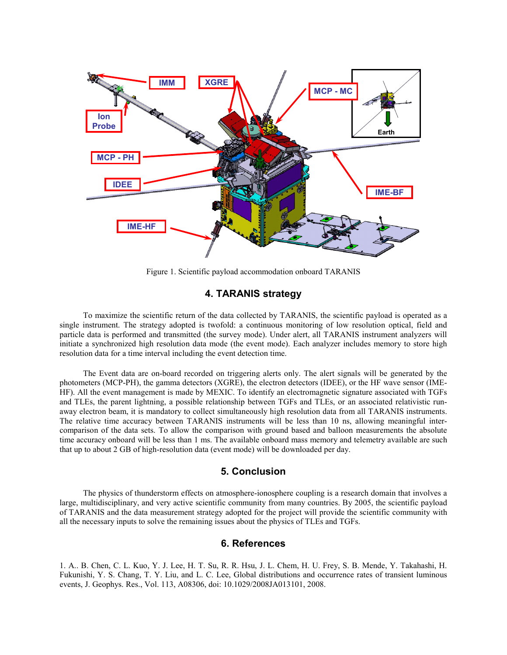

Figure 1. Scientific payload accommodation onboard TARANIS

### **4. TARANIS strategy**

 To maximize the scientific return of the data collected by TARANIS, the scientific payload is operated as a single instrument. The strategy adopted is twofold: a continuous monitoring of low resolution optical, field and particle data is performed and transmitted (the survey mode). Under alert, all TARANIS instrument analyzers will initiate a synchronized high resolution data mode (the event mode). Each analyzer includes memory to store high resolution data for a time interval including the event detection time.

The Event data are on-board recorded on triggering alerts only. The alert signals will be generated by the photometers (MCP-PH), the gamma detectors (XGRE), the electron detectors (IDEE), or the HF wave sensor (IME-HF). All the event management is made by MEXIC. To identify an electromagnetic signature associated with TGFs and TLEs, the parent lightning, a possible relationship between TGFs and TLEs, or an associated relativistic runaway electron beam, it is mandatory to collect simultaneously high resolution data from all TARANIS instruments. The relative time accuracy between TARANIS instruments will be less than 10 ns, allowing meaningful intercomparison of the data sets. To allow the comparison with ground based and balloon measurements the absolute time accuracy onboard will be less than 1 ms. The available onboard mass memory and telemetry available are such that up to about 2 GB of high-resolution data (event mode) will be downloaded per day.

### **5. Conclusion**

 The physics of thunderstorm effects on atmosphere-ionosphere coupling is a research domain that involves a large, multidisciplinary, and very active scientific community from many countries. By 2005, the scientific payload of TARANIS and the data measurement strategy adopted for the project will provide the scientific community with all the necessary inputs to solve the remaining issues about the physics of TLEs and TGFs.

### **6. References**

1. A.. B. Chen, C. L. Kuo, Y. J. Lee, H. T. Su, R. R. Hsu, J. L. Chem, H. U. Frey, S. B. Mende, Y. Takahashi, H. Fukunishi, Y. S. Chang, T. Y. Liu, and L. C. Lee, Global distributions and occurrence rates of transient luminous events, J. Geophys. Res., Vol. 113, A08306, doi: 10.1029/2008JA013101, 2008.